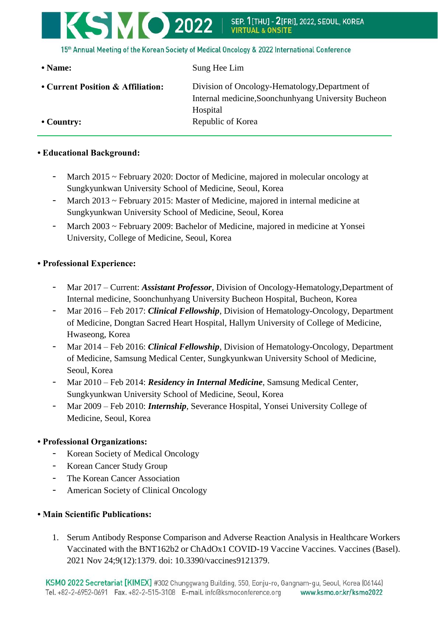

15th Annual Meeting of the Korean Society of Medical Oncology & 2022 International Conference

**• Current Position & Affiliation:** Division of Oncology-Hematology,Department of Internal medicine,Soonchunhyang University Bucheon Hospital • **Country:** Republic of Korea

• Name: Sung Hee Lim

**• Educational Background:**

- March 2015 ~ February 2020: Doctor of Medicine, majored in molecular oncology at Sungkyunkwan University School of Medicine, Seoul, Korea
- March 2013 ~ February 2015: Master of Medicine, majored in internal medicine at Sungkyunkwan University School of Medicine, Seoul, Korea
- March 2003 ~ February 2009: Bachelor of Medicine, majored in medicine at Yonsei University, College of Medicine, Seoul, Korea

## **• Professional Experience:**

- Mar 2017 Current: *Assistant Professor*, Division of Oncology-Hematology,Department of Internal medicine, Soonchunhyang University Bucheon Hospital, Bucheon, Korea
- Mar 2016 Feb 2017: *Clinical Fellowship*, Division of Hematology-Oncology, Department of Medicine, Dongtan Sacred Heart Hospital, Hallym University of College of Medicine, Hwaseong, Korea
- Mar 2014 Feb 2016: *Clinical Fellowship*, Division of Hematology-Oncology, Department of Medicine, Samsung Medical Center, Sungkyunkwan University School of Medicine, Seoul, Korea
- Mar 2010 Feb 2014: *Residency in Internal Medicine*, Samsung Medical Center, Sungkyunkwan University School of Medicine, Seoul, Korea
- Mar 2009 Feb 2010: *Internship*, Severance Hospital, Yonsei University College of Medicine, Seoul, Korea

## **• Professional Organizations:**

- Korean Society of Medical Oncology
- Korean Cancer Study Group
- The Korean Cancer Association
- American Society of Clinical Oncology

## **• Main Scientific Publications:**

1. Serum Antibody Response Comparison and Adverse Reaction Analysis in Healthcare Workers Vaccinated with the BNT162b2 or ChAdOx1 COVID-19 Vaccine Vaccines. Vaccines (Basel). 2021 Nov 24;9(12):1379. doi: 10.3390/vaccines9121379.